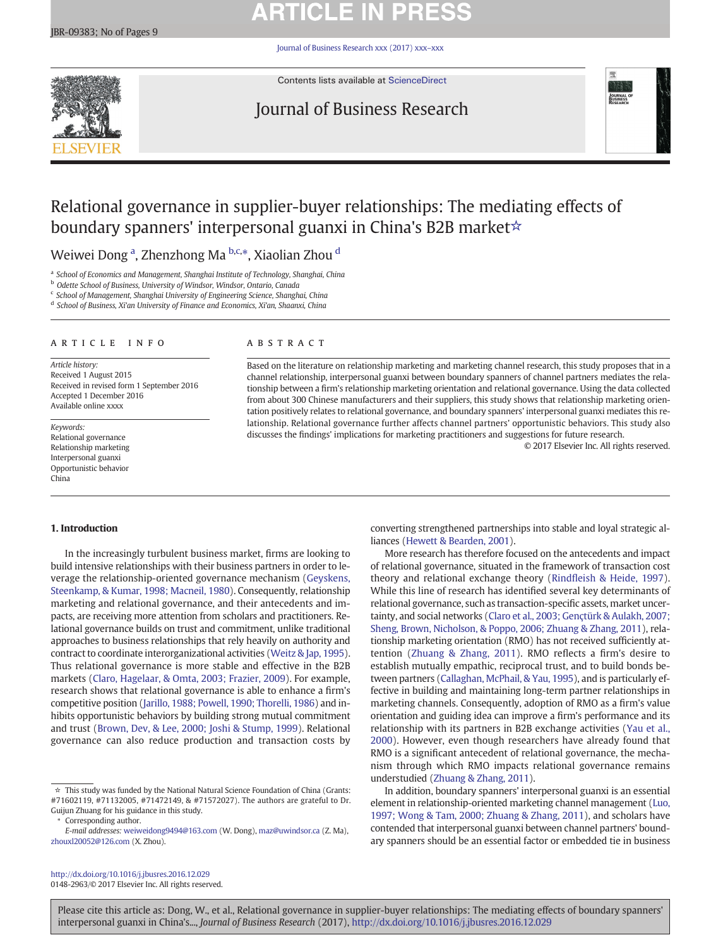# **ARTICLE IN PRESS**

[Journal of Business Research xxx \(2017\) xxx](http://dx.doi.org/10.1016/j.jbusres.2016.12.029)–xxx



Contents lists available at [ScienceDirect](http://www.sciencedirect.com/science/journal/01482963)

## Journal of Business Research



## Relational governance in supplier-buyer relationships: The mediating effects of boundary spanners' interpersonal guanxi in China's B2B market☆

## Weiwei Dong <sup>a</sup>, Zhenzhong Ma <sup>b,c,</sup>\*, Xiaolian Zhou <sup>d</sup>

<sup>a</sup> School of Economics and Management, Shanghai Institute of Technology, Shanghai, China

**b** Odette School of Business, University of Windsor, Windsor, Ontario, Canada

<sup>c</sup> School of Management, Shanghai University of Engineering Science, Shanghai, China

<sup>d</sup> School of Business, Xi'an University of Finance and Economics, Xi'an, Shaanxi, China

#### article info abstract

Article history: Received 1 August 2015 Received in revised form 1 September 2016 Accepted 1 December 2016 Available online xxxx

Keywords: Relational governance Relationship marketing Interpersonal guanxi Opportunistic behavior China

#### 1. Introduction

In the increasingly turbulent business market, firms are looking to build intensive relationships with their business partners in order to leverage the relationship-oriented governance mechanism [\(Geyskens,](#page-8-0) [Steenkamp, & Kumar, 1998; Macneil, 1980](#page-8-0)). Consequently, relationship marketing and relational governance, and their antecedents and impacts, are receiving more attention from scholars and practitioners. Relational governance builds on trust and commitment, unlike traditional approaches to business relationships that rely heavily on authority and contract to coordinate interorganizational activities ([Weitz & Jap, 1995](#page-8-0)). Thus relational governance is more stable and effective in the B2B markets ([Claro, Hagelaar, & Omta, 2003; Frazier, 2009](#page-8-0)). For example, research shows that relational governance is able to enhance a firm's competitive position [\(Jarillo, 1988; Powell, 1990; Thorelli, 1986\)](#page-8-0) and inhibits opportunistic behaviors by building strong mutual commitment and trust ([Brown, Dev, & Lee, 2000; Joshi & Stump, 1999\)](#page-7-0). Relational governance can also reduce production and transaction costs by

Corresponding author.

<http://dx.doi.org/10.1016/j.jbusres.2016.12.029> 0148-2963/© 2017 Elsevier Inc. All rights reserved.

Based on the literature on relationship marketing and marketing channel research, this study proposes that in a channel relationship, interpersonal guanxi between boundary spanners of channel partners mediates the relationship between a firm's relationship marketing orientation and relational governance. Using the data collected from about 300 Chinese manufacturers and their suppliers, this study shows that relationship marketing orientation positively relates to relational governance, and boundary spanners' interpersonal guanxi mediates this relationship. Relational governance further affects channel partners' opportunistic behaviors. This study also discusses the findings' implications for marketing practitioners and suggestions for future research.

© 2017 Elsevier Inc. All rights reserved.

converting strengthened partnerships into stable and loyal strategic alliances [\(Hewett & Bearden, 2001\)](#page-8-0).

More research has therefore focused on the antecedents and impact of relational governance, situated in the framework of transaction cost theory and relational exchange theory (Rindfl[eish & Heide, 1997](#page-8-0)). While this line of research has identified several key determinants of relational governance, such as transaction-specific assets, market uncertainty, and social networks [\(Claro et al., 2003; Gençtürk & Aulakh, 2007;](#page-8-0) [Sheng, Brown, Nicholson, & Poppo, 2006; Zhuang & Zhang, 2011\)](#page-8-0), relationship marketing orientation (RMO) has not received sufficiently attention ([Zhuang & Zhang, 2011\)](#page-8-0). RMO reflects a firm's desire to establish mutually empathic, reciprocal trust, and to build bonds between partners [\(Callaghan, McPhail, & Yau, 1995\)](#page-7-0), and is particularly effective in building and maintaining long-term partner relationships in marketing channels. Consequently, adoption of RMO as a firm's value orientation and guiding idea can improve a firm's performance and its relationship with its partners in B2B exchange activities [\(Yau et al.,](#page-8-0) [2000\)](#page-8-0). However, even though researchers have already found that RMO is a significant antecedent of relational governance, the mechanism through which RMO impacts relational governance remains understudied ([Zhuang & Zhang, 2011](#page-8-0)).

In addition, boundary spanners' interpersonal guanxi is an essential element in relationship-oriented marketing channel management [\(Luo,](#page-8-0) [1997; Wong & Tam, 2000; Zhuang & Zhang, 2011](#page-8-0)), and scholars have contended that interpersonal guanxi between channel partners' boundary spanners should be an essential factor or embedded tie in business

 $\dot{\tau}$  This study was funded by the National Natural Science Foundation of China (Grants: #71602119, #71132005, #71472149, & #71572027). The authors are grateful to Dr. Guijun Zhuang for his guidance in this study.

E-mail addresses: weiweidong9494@163.com (W. Dong), maz@uwindsor.ca (Z. Ma), [zhouxl20052@126.com](mailto:zhouxl20052@126.com) (X. Zhou).

Please cite this article as: Dong, W., et al., Relational governance in supplier-buyer relationships: The mediating effects of boundary spanners' interpersonal guanxi in China's..., Journal of Business Research (2017), <http://dx.doi.org/10.1016/j.jbusres.2016.12.029>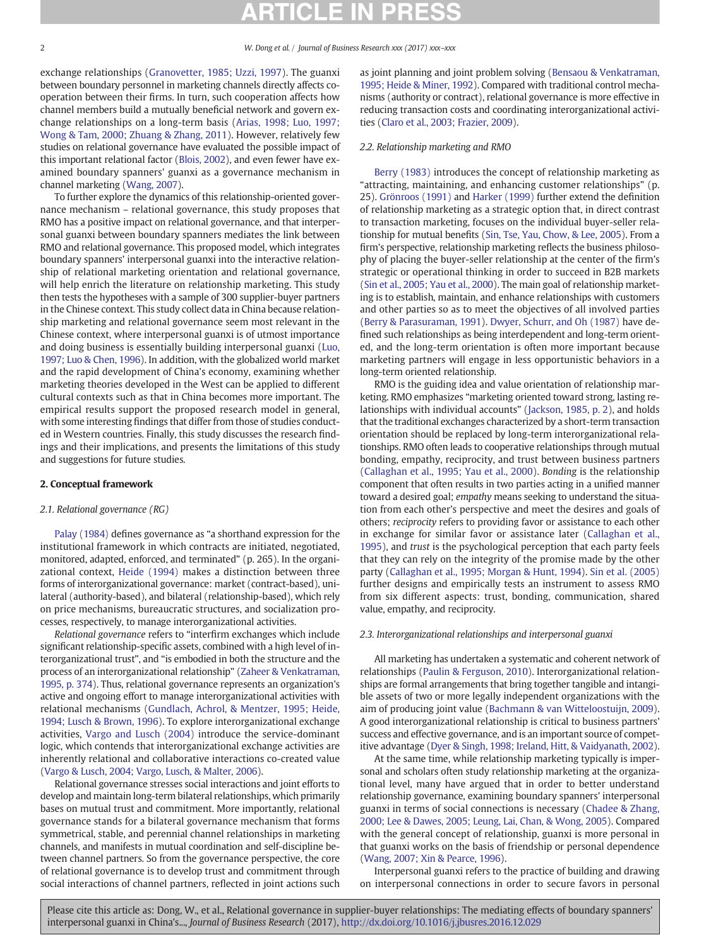#### 2 W. Dong et al. / Journal of Business Research xxx (2017) xxx–xxx

exchange relationships ([Granovetter, 1985; Uzzi, 1997](#page-8-0)). The guanxi between boundary personnel in marketing channels directly affects cooperation between their firms. In turn, such cooperation affects how channel members build a mutually beneficial network and govern exchange relationships on a long-term basis ([Arias, 1998; Luo, 1997;](#page-7-0) [Wong & Tam, 2000; Zhuang & Zhang, 2011](#page-7-0)). However, relatively few studies on relational governance have evaluated the possible impact of this important relational factor ([Blois, 2002\)](#page-7-0), and even fewer have examined boundary spanners' guanxi as a governance mechanism in channel marketing [\(Wang, 2007\)](#page-8-0).

To further explore the dynamics of this relationship-oriented governance mechanism – relational governance, this study proposes that RMO has a positive impact on relational governance, and that interpersonal guanxi between boundary spanners mediates the link between RMO and relational governance. This proposed model, which integrates boundary spanners' interpersonal guanxi into the interactive relationship of relational marketing orientation and relational governance, will help enrich the literature on relationship marketing. This study then tests the hypotheses with a sample of 300 supplier-buyer partners in the Chinese context. This study collect data in China because relationship marketing and relational governance seem most relevant in the Chinese context, where interpersonal guanxi is of utmost importance and doing business is essentially building interpersonal guanxi ([Luo,](#page-8-0) [1997; Luo & Chen, 1996\)](#page-8-0). In addition, with the globalized world market and the rapid development of China's economy, examining whether marketing theories developed in the West can be applied to different cultural contexts such as that in China becomes more important. The empirical results support the proposed research model in general, with some interesting findings that differ from those of studies conducted in Western countries. Finally, this study discusses the research findings and their implications, and presents the limitations of this study and suggestions for future studies.

#### 2. Conceptual framework

### 2.1. Relational governance (RG)

[Palay \(1984\)](#page-8-0) defines governance as "a shorthand expression for the institutional framework in which contracts are initiated, negotiated, monitored, adapted, enforced, and terminated" (p. 265). In the organizational context, [Heide \(1994\)](#page-8-0) makes a distinction between three forms of interorganizational governance: market (contract-based), unilateral (authority-based), and bilateral (relationship-based), which rely on price mechanisms, bureaucratic structures, and socialization processes, respectively, to manage interorganizational activities.

Relational governance refers to "interfirm exchanges which include significant relationship-specific assets, combined with a high level of interorganizational trust", and "is embodied in both the structure and the process of an interorganizational relationship" ([Zaheer & Venkatraman,](#page-8-0) [1995, p. 374](#page-8-0)). Thus, relational governance represents an organization's active and ongoing effort to manage interorganizational activities with relational mechanisms [\(Gundlach, Achrol, & Mentzer, 1995; Heide,](#page-8-0) [1994; Lusch & Brown, 1996\)](#page-8-0). To explore interorganizational exchange activities, [Vargo and Lusch \(2004\)](#page-8-0) introduce the service-dominant logic, which contends that interorganizational exchange activities are inherently relational and collaborative interactions co-created value [\(Vargo & Lusch, 2004; Vargo, Lusch, & Malter, 2006](#page-8-0)).

Relational governance stresses social interactions and joint efforts to develop and maintain long-term bilateral relationships, which primarily bases on mutual trust and commitment. More importantly, relational governance stands for a bilateral governance mechanism that forms symmetrical, stable, and perennial channel relationships in marketing channels, and manifests in mutual coordination and self-discipline between channel partners. So from the governance perspective, the core of relational governance is to develop trust and commitment through social interactions of channel partners, reflected in joint actions such as joint planning and joint problem solving ([Bensaou & Venkatraman,](#page-7-0) [1995; Heide & Miner, 1992\)](#page-7-0). Compared with traditional control mechanisms (authority or contract), relational governance is more effective in reducing transaction costs and coordinating interorganizational activities ([Claro et al., 2003; Frazier, 2009](#page-8-0)).

### 2.2. Relationship marketing and RMO

[Berry \(1983\)](#page-7-0) introduces the concept of relationship marketing as "attracting, maintaining, and enhancing customer relationships" (p. 25). [Grönroos \(1991\)](#page-8-0) and [Harker \(1999\)](#page-8-0) further extend the definition of relationship marketing as a strategic option that, in direct contrast to transaction marketing, focuses on the individual buyer-seller relationship for mutual benefits ([Sin, Tse, Yau, Chow, & Lee, 2005\)](#page-8-0). From a firm's perspective, relationship marketing reflects the business philosophy of placing the buyer-seller relationship at the center of the firm's strategic or operational thinking in order to succeed in B2B markets [\(Sin et al., 2005; Yau et al., 2000](#page-8-0)). The main goal of relationship marketing is to establish, maintain, and enhance relationships with customers and other parties so as to meet the objectives of all involved parties [\(Berry & Parasuraman, 1991](#page-7-0)). [Dwyer, Schurr, and Oh \(1987\)](#page-8-0) have defined such relationships as being interdependent and long-term oriented, and the long-term orientation is often more important because marketing partners will engage in less opportunistic behaviors in a long-term oriented relationship.

RMO is the guiding idea and value orientation of relationship marketing. RMO emphasizes "marketing oriented toward strong, lasting relationships with individual accounts" ([Jackson, 1985, p. 2\)](#page-8-0), and holds that the traditional exchanges characterized by a short-term transaction orientation should be replaced by long-term interorganizational relationships. RMO often leads to cooperative relationships through mutual bonding, empathy, reciprocity, and trust between business partners [\(Callaghan et al., 1995; Yau et al., 2000\)](#page-7-0). Bonding is the relationship component that often results in two parties acting in a unified manner toward a desired goal; empathy means seeking to understand the situation from each other's perspective and meet the desires and goals of others; reciprocity refers to providing favor or assistance to each other in exchange for similar favor or assistance later [\(Callaghan et al.,](#page-7-0) [1995](#page-7-0)), and trust is the psychological perception that each party feels that they can rely on the integrity of the promise made by the other party ([Callaghan et al., 1995; Morgan & Hunt, 1994](#page-7-0)). [Sin et al. \(2005\)](#page-8-0) further designs and empirically tests an instrument to assess RMO from six different aspects: trust, bonding, communication, shared value, empathy, and reciprocity.

#### 2.3. Interorganizational relationships and interpersonal guanxi

All marketing has undertaken a systematic and coherent network of relationships [\(Paulin & Ferguson, 2010](#page-8-0)). Interorganizational relationships are formal arrangements that bring together tangible and intangible assets of two or more legally independent organizations with the aim of producing joint value ([Bachmann & van Witteloostuijn, 2009](#page-7-0)). A good interorganizational relationship is critical to business partners' success and effective governance, and is an important source of competitive advantage [\(Dyer & Singh, 1998; Ireland, Hitt, & Vaidyanath, 2002\)](#page-8-0).

At the same time, while relationship marketing typically is impersonal and scholars often study relationship marketing at the organizational level, many have argued that in order to better understand relationship governance, examining boundary spanners' interpersonal guanxi in terms of social connections is necessary [\(Chadee & Zhang,](#page-8-0) [2000; Lee & Dawes, 2005; Leung, Lai, Chan, & Wong, 2005\)](#page-8-0). Compared with the general concept of relationship, guanxi is more personal in that guanxi works on the basis of friendship or personal dependence [\(Wang, 2007; Xin & Pearce, 1996](#page-8-0)).

Interpersonal guanxi refers to the practice of building and drawing on interpersonal connections in order to secure favors in personal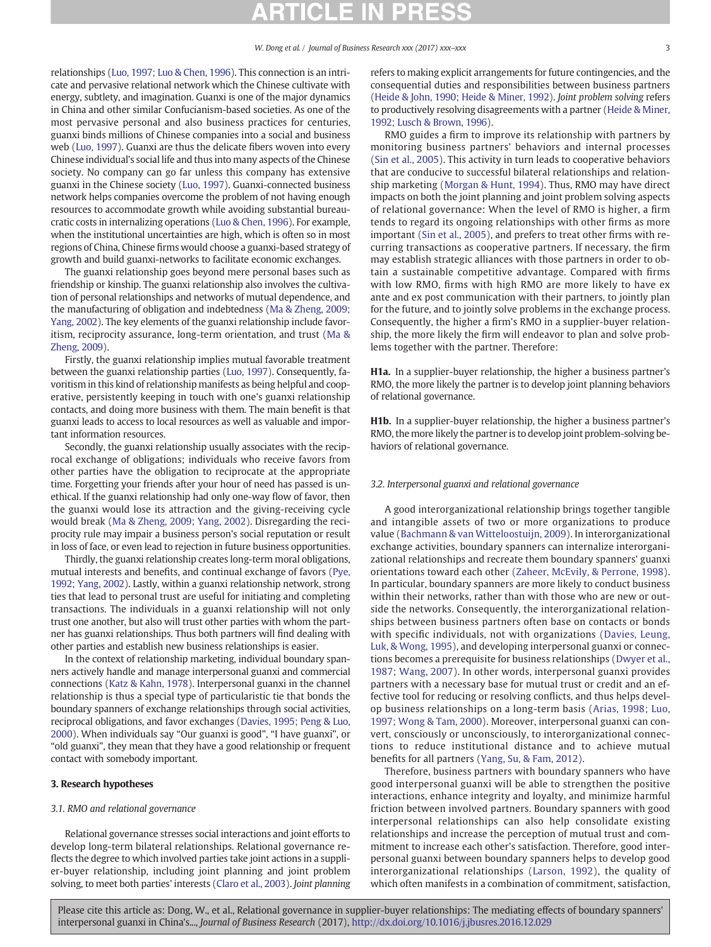<span id="page-2-0"></span>relationships [\(Luo, 1997; Luo & Chen, 1996](#page-8-0)). This connection is an intricate and pervasive relational network which the Chinese cultivate with energy, subtlety, and imagination. Guanxi is one of the major dynamics in China and other similar Confucianism-based societies. As one of the most pervasive personal and also business practices for centuries, guanxi binds millions of Chinese companies into a social and business web [\(Luo, 1997](#page-8-0)). Guanxi are thus the delicate fibers woven into every Chinese individual's social life and thus into many aspects of the Chinese society. No company can go far unless this company has extensive guanxi in the Chinese society ([Luo, 1997\)](#page-8-0). Guanxi-connected business network helps companies overcome the problem of not having enough resources to accommodate growth while avoiding substantial bureaucratic costs in internalizing operations ([Luo & Chen, 1996\)](#page-8-0). For example, when the institutional uncertainties are high, which is often so in most regions of China, Chinese firms would choose a guanxi-based strategy of growth and build guanxi-networks to facilitate economic exchanges.

The guanxi relationship goes beyond mere personal bases such as friendship or kinship. The guanxi relationship also involves the cultivation of personal relationships and networks of mutual dependence, and the manufacturing of obligation and indebtedness [\(Ma & Zheng, 2009;](#page-8-0) [Yang, 2002\)](#page-8-0). The key elements of the guanxi relationship include favoritism, reciprocity assurance, long-term orientation, and trust ([Ma &](#page-8-0) [Zheng, 2009](#page-8-0)).

Firstly, the guanxi relationship implies mutual favorable treatment between the guanxi relationship parties ([Luo, 1997](#page-8-0)). Consequently, favoritism in this kind of relationship manifests as being helpful and cooperative, persistently keeping in touch with one's guanxi relationship contacts, and doing more business with them. The main benefit is that guanxi leads to access to local resources as well as valuable and important information resources.

Secondly, the guanxi relationship usually associates with the reciprocal exchange of obligations; individuals who receive favors from other parties have the obligation to reciprocate at the appropriate time. Forgetting your friends after your hour of need has passed is unethical. If the guanxi relationship had only one-way flow of favor, then the guanxi would lose its attraction and the giving-receiving cycle would break [\(Ma & Zheng, 2009; Yang, 2002](#page-8-0)). Disregarding the reciprocity rule may impair a business person's social reputation or result in loss of face, or even lead to rejection in future business opportunities.

Thirdly, the guanxi relationship creates long-term moral obligations, mutual interests and benefits, and continual exchange of favors ([Pye,](#page-8-0) [1992; Yang, 2002](#page-8-0)). Lastly, within a guanxi relationship network, strong ties that lead to personal trust are useful for initiating and completing transactions. The individuals in a guanxi relationship will not only trust one another, but also will trust other parties with whom the partner has guanxi relationships. Thus both partners will find dealing with other parties and establish new business relationships is easier.

In the context of relationship marketing, individual boundary spanners actively handle and manage interpersonal guanxi and commercial connections [\(Katz & Kahn, 1978\)](#page-8-0). Interpersonal guanxi in the channel relationship is thus a special type of particularistic tie that bonds the boundary spanners of exchange relationships through social activities, reciprocal obligations, and favor exchanges ([Davies, 1995; Peng & Luo,](#page-8-0) [2000\)](#page-8-0). When individuals say "Our guanxi is good", "I have guanxi", or "old guanxi", they mean that they have a good relationship or frequent contact with somebody important.

#### 3. Research hypotheses

#### 3.1. RMO and relational governance

Relational governance stresses social interactions and joint efforts to develop long-term bilateral relationships. Relational governance reflects the degree to which involved parties take joint actions in a supplier-buyer relationship, including joint planning and joint problem solving, to meet both parties' interests [\(Claro et al., 2003](#page-8-0)). Joint planning refers to making explicit arrangements for future contingencies, and the consequential duties and responsibilities between business partners [\(Heide & John, 1990; Heide & Miner, 1992](#page-8-0)). Joint problem solving refers to productively resolving disagreements with a partner ([Heide & Miner,](#page-8-0) [1992; Lusch & Brown, 1996](#page-8-0)).

RMO guides a firm to improve its relationship with partners by monitoring business partners' behaviors and internal processes [\(Sin et al., 2005\)](#page-8-0). This activity in turn leads to cooperative behaviors that are conducive to successful bilateral relationships and relationship marketing [\(Morgan & Hunt, 1994](#page-8-0)). Thus, RMO may have direct impacts on both the joint planning and joint problem solving aspects of relational governance: When the level of RMO is higher, a firm tends to regard its ongoing relationships with other firms as more important ([Sin et al., 2005](#page-8-0)), and prefers to treat other firms with recurring transactions as cooperative partners. If necessary, the firm may establish strategic alliances with those partners in order to obtain a sustainable competitive advantage. Compared with firms with low RMO, firms with high RMO are more likely to have ex ante and ex post communication with their partners, to jointly plan for the future, and to jointly solve problems in the exchange process. Consequently, the higher a firm's RMO in a supplier-buyer relationship, the more likely the firm will endeavor to plan and solve problems together with the partner. Therefore:

H1a. In a supplier-buyer relationship, the higher a business partner's RMO, the more likely the partner is to develop joint planning behaviors of relational governance.

H1b. In a supplier-buyer relationship, the higher a business partner's RMO, the more likely the partner is to develop joint problem-solving behaviors of relational governance.

### 3.2. Interpersonal guanxi and relational governance

A good interorganizational relationship brings together tangible and intangible assets of two or more organizations to produce value ([Bachmann & van Witteloostuijn, 2009](#page-7-0)). In interorganizational exchange activities, boundary spanners can internalize interorganizational relationships and recreate them boundary spanners' guanxi orientations toward each other ([Zaheer, McEvily, & Perrone, 1998](#page-8-0)). In particular, boundary spanners are more likely to conduct business within their networks, rather than with those who are new or outside the networks. Consequently, the interorganizational relationships between business partners often base on contacts or bonds with specific individuals, not with organizations ([Davies, Leung,](#page-8-0) [Luk, & Wong, 1995\)](#page-8-0), and developing interpersonal guanxi or connections becomes a prerequisite for business relationships [\(Dwyer et al.,](#page-8-0) [1987; Wang, 2007\)](#page-8-0). In other words, interpersonal guanxi provides partners with a necessary base for mutual trust or credit and an effective tool for reducing or resolving conflicts, and thus helps develop business relationships on a long-term basis ([Arias, 1998; Luo,](#page-7-0) [1997; Wong & Tam, 2000\)](#page-7-0). Moreover, interpersonal guanxi can convert, consciously or unconsciously, to interorganizational connections to reduce institutional distance and to achieve mutual benefits for all partners ([Yang, Su, & Fam, 2012](#page-8-0)).

Therefore, business partners with boundary spanners who have good interpersonal guanxi will be able to strengthen the positive interactions, enhance integrity and loyalty, and minimize harmful friction between involved partners. Boundary spanners with good interpersonal relationships can also help consolidate existing relationships and increase the perception of mutual trust and commitment to increase each other's satisfaction. Therefore, good interpersonal guanxi between boundary spanners helps to develop good interorganizational relationships ([Larson, 1992](#page-8-0)), the quality of which often manifests in a combination of commitment, satisfaction,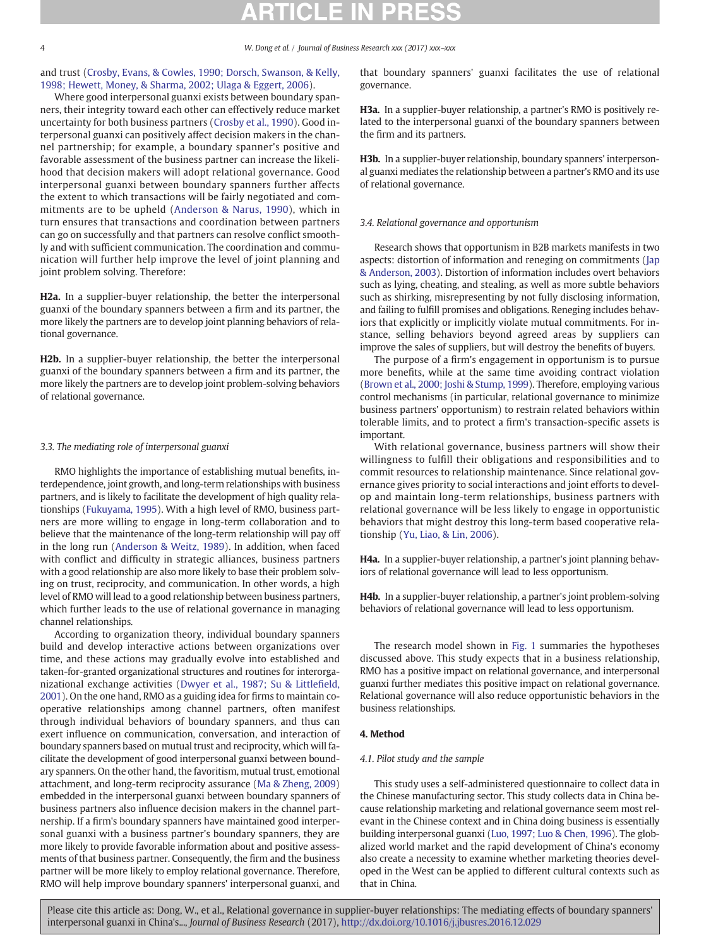<span id="page-3-0"></span>and trust [\(Crosby, Evans, & Cowles, 1990; Dorsch, Swanson, & Kelly,](#page-8-0) [1998; Hewett, Money, & Sharma, 2002; Ulaga & Eggert, 2006\)](#page-8-0).

Where good interpersonal guanxi exists between boundary spanners, their integrity toward each other can effectively reduce market uncertainty for both business partners [\(Crosby et al., 1990\)](#page-8-0). Good interpersonal guanxi can positively affect decision makers in the channel partnership; for example, a boundary spanner's positive and favorable assessment of the business partner can increase the likelihood that decision makers will adopt relational governance. Good interpersonal guanxi between boundary spanners further affects the extent to which transactions will be fairly negotiated and commitments are to be upheld ([Anderson & Narus, 1990\)](#page-7-0), which in turn ensures that transactions and coordination between partners can go on successfully and that partners can resolve conflict smoothly and with sufficient communication. The coordination and communication will further help improve the level of joint planning and joint problem solving. Therefore:

H2a. In a supplier-buyer relationship, the better the interpersonal guanxi of the boundary spanners between a firm and its partner, the more likely the partners are to develop joint planning behaviors of relational governance.

H2b. In a supplier-buyer relationship, the better the interpersonal guanxi of the boundary spanners between a firm and its partner, the more likely the partners are to develop joint problem-solving behaviors of relational governance.

### 3.3. The mediating role of interpersonal guanxi

RMO highlights the importance of establishing mutual benefits, interdependence, joint growth, and long-term relationships with business partners, and is likely to facilitate the development of high quality relationships [\(Fukuyama, 1995\)](#page-8-0). With a high level of RMO, business partners are more willing to engage in long-term collaboration and to believe that the maintenance of the long-term relationship will pay off in the long run ([Anderson & Weitz, 1989](#page-7-0)). In addition, when faced with conflict and difficulty in strategic alliances, business partners with a good relationship are also more likely to base their problem solving on trust, reciprocity, and communication. In other words, a high level of RMO will lead to a good relationship between business partners, which further leads to the use of relational governance in managing channel relationships.

According to organization theory, individual boundary spanners build and develop interactive actions between organizations over time, and these actions may gradually evolve into established and taken-for-granted organizational structures and routines for interorganizational exchange activities [\(Dwyer et al., 1987; Su & Little](#page-8-0)field, [2001\)](#page-8-0). On the one hand, RMO as a guiding idea for firms to maintain cooperative relationships among channel partners, often manifest through individual behaviors of boundary spanners, and thus can exert influence on communication, conversation, and interaction of boundary spanners based on mutual trust and reciprocity, which will facilitate the development of good interpersonal guanxi between boundary spanners. On the other hand, the favoritism, mutual trust, emotional attachment, and long-term reciprocity assurance ([Ma & Zheng, 2009](#page-8-0)) embedded in the interpersonal guanxi between boundary spanners of business partners also influence decision makers in the channel partnership. If a firm's boundary spanners have maintained good interpersonal guanxi with a business partner's boundary spanners, they are more likely to provide favorable information about and positive assessments of that business partner. Consequently, the firm and the business partner will be more likely to employ relational governance. Therefore, RMO will help improve boundary spanners' interpersonal guanxi, and

that boundary spanners' guanxi facilitates the use of relational governance.

H3a. In a supplier-buyer relationship, a partner's RMO is positively related to the interpersonal guanxi of the boundary spanners between the firm and its partners.

H3b. In a supplier-buyer relationship, boundary spanners' interpersonal guanxi mediates the relationship between a partner's RMO and its use of relational governance.

#### 3.4. Relational governance and opportunism

Research shows that opportunism in B2B markets manifests in two aspects: distortion of information and reneging on commitments ([Jap](#page-8-0) [& Anderson, 2003\)](#page-8-0). Distortion of information includes overt behaviors such as lying, cheating, and stealing, as well as more subtle behaviors such as shirking, misrepresenting by not fully disclosing information, and failing to fulfill promises and obligations. Reneging includes behaviors that explicitly or implicitly violate mutual commitments. For instance, selling behaviors beyond agreed areas by suppliers can improve the sales of suppliers, but will destroy the benefits of buyers.

The purpose of a firm's engagement in opportunism is to pursue more benefits, while at the same time avoiding contract violation [\(Brown et al., 2000; Joshi & Stump, 1999\)](#page-7-0). Therefore, employing various control mechanisms (in particular, relational governance to minimize business partners' opportunism) to restrain related behaviors within tolerable limits, and to protect a firm's transaction-specific assets is important.

With relational governance, business partners will show their willingness to fulfill their obligations and responsibilities and to commit resources to relationship maintenance. Since relational governance gives priority to social interactions and joint efforts to develop and maintain long-term relationships, business partners with relational governance will be less likely to engage in opportunistic behaviors that might destroy this long-term based cooperative relationship ([Yu, Liao, & Lin, 2006\)](#page-8-0).

H4a. In a supplier-buyer relationship, a partner's joint planning behaviors of relational governance will lead to less opportunism.

H4b. In a supplier-buyer relationship, a partner's joint problem-solving behaviors of relational governance will lead to less opportunism.

The research model shown in [Fig. 1](#page-4-0) summaries the hypotheses discussed above. This study expects that in a business relationship, RMO has a positive impact on relational governance, and interpersonal guanxi further mediates this positive impact on relational governance. Relational governance will also reduce opportunistic behaviors in the business relationships.

#### 4. Method

### 4.1. Pilot study and the sample

This study uses a self-administered questionnaire to collect data in the Chinese manufacturing sector. This study collects data in China because relationship marketing and relational governance seem most relevant in the Chinese context and in China doing business is essentially building interpersonal guanxi ([Luo, 1997; Luo & Chen, 1996](#page-8-0)). The globalized world market and the rapid development of China's economy also create a necessity to examine whether marketing theories developed in the West can be applied to different cultural contexts such as that in China.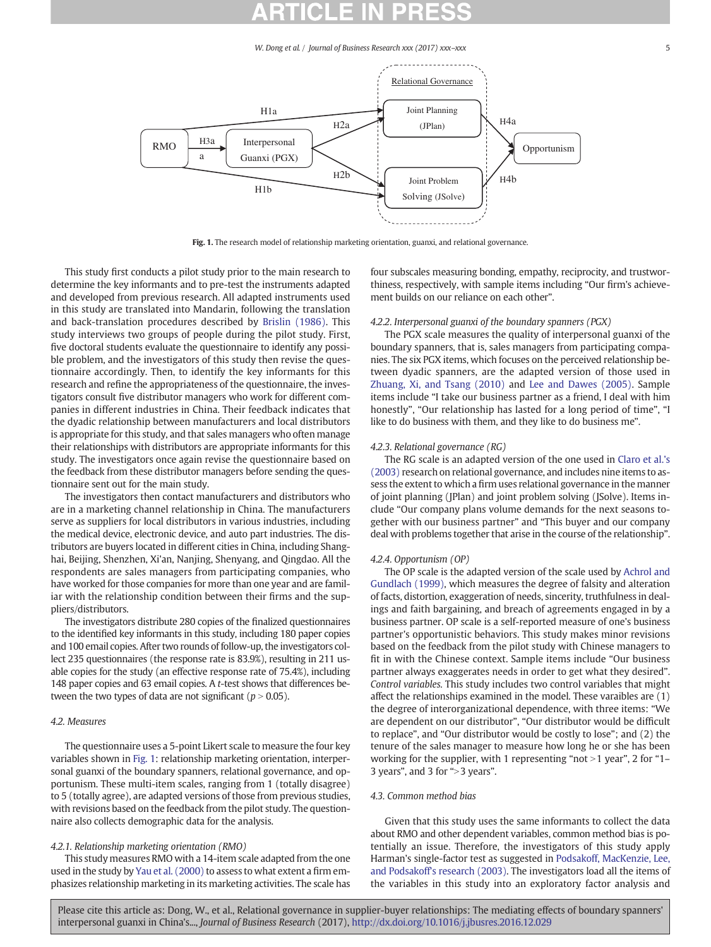W. Dong et al. / Journal of Business Research xxx (2017) xxx-xxx

<span id="page-4-0"></span>

Fig. 1. The research model of relationship marketing orientation, guanxi, and relational governance.

This study first conducts a pilot study prior to the main research to determine the key informants and to pre-test the instruments adapted and developed from previous research. All adapted instruments used in this study are translated into Mandarin, following the translation and back-translation procedures described by [Brislin \(1986\).](#page-7-0) This study interviews two groups of people during the pilot study. First, five doctoral students evaluate the questionnaire to identify any possible problem, and the investigators of this study then revise the questionnaire accordingly. Then, to identify the key informants for this research and refine the appropriateness of the questionnaire, the investigators consult five distributor managers who work for different companies in different industries in China. Their feedback indicates that the dyadic relationship between manufacturers and local distributors is appropriate for this study, and that sales managers who often manage their relationships with distributors are appropriate informants for this study. The investigators once again revise the questionnaire based on the feedback from these distributor managers before sending the questionnaire sent out for the main study.

The investigators then contact manufacturers and distributors who are in a marketing channel relationship in China. The manufacturers serve as suppliers for local distributors in various industries, including the medical device, electronic device, and auto part industries. The distributors are buyers located in different cities in China, including Shanghai, Beijing, Shenzhen, Xi'an, Nanjing, Shenyang, and Qingdao. All the respondents are sales managers from participating companies, who have worked for those companies for more than one year and are familiar with the relationship condition between their firms and the suppliers/distributors.

The investigators distribute 280 copies of the finalized questionnaires to the identified key informants in this study, including 180 paper copies and 100 email copies. After two rounds of follow-up, the investigators collect 235 questionnaires (the response rate is 83.9%), resulting in 211 usable copies for the study (an effective response rate of 75.4%), including 148 paper copies and 63 email copies. A t-test shows that differences between the two types of data are not significant ( $p > 0.05$ ).

#### 4.2. Measures

The questionnaire uses a 5-point Likert scale to measure the four key variables shown in Fig. 1: relationship marketing orientation, interpersonal guanxi of the boundary spanners, relational governance, and opportunism. These multi-item scales, ranging from 1 (totally disagree) to 5 (totally agree), are adapted versions of those from previous studies, with revisions based on the feedback from the pilot study. The questionnaire also collects demographic data for the analysis.

### 4.2.1. Relationship marketing orientation (RMO)

This study measures RMO with a 14-item scale adapted from the one used in the study by [Yau et al. \(2000\)](#page-8-0) to assess to what extent a firm emphasizes relationship marketing in its marketing activities. The scale has four subscales measuring bonding, empathy, reciprocity, and trustworthiness, respectively, with sample items including "Our firm's achievement builds on our reliance on each other".

### 4.2.2. Interpersonal guanxi of the boundary spanners (PGX)

The PGX scale measures the quality of interpersonal guanxi of the boundary spanners, that is, sales managers from participating companies. The six PGX items, which focuses on the perceived relationship between dyadic spanners, are the adapted version of those used in [Zhuang, Xi, and Tsang \(2010\)](#page-8-0) and [Lee and Dawes \(2005\)](#page-8-0). Sample items include "I take our business partner as a friend, I deal with him honestly", "Our relationship has lasted for a long period of time", "I like to do business with them, and they like to do business me".

### 4.2.3. Relational governance (RG)

The RG scale is an adapted version of the one used in [Claro et al.'s](#page-8-0) [\(2003\)](#page-8-0) research on relational governance, and includes nine items to assess the extent to which a firm uses relational governance in the manner of joint planning (JPlan) and joint problem solving (JSolve). Items include "Our company plans volume demands for the next seasons together with our business partner" and "This buyer and our company deal with problems together that arise in the course of the relationship".

#### 4.2.4. Opportunism (OP)

The OP scale is the adapted version of the scale used by [Achrol and](#page-7-0) [Gundlach \(1999\)](#page-7-0), which measures the degree of falsity and alteration of facts, distortion, exaggeration of needs, sincerity, truthfulness in dealings and faith bargaining, and breach of agreements engaged in by a business partner. OP scale is a self-reported measure of one's business partner's opportunistic behaviors. This study makes minor revisions based on the feedback from the pilot study with Chinese managers to fit in with the Chinese context. Sample items include "Our business partner always exaggerates needs in order to get what they desired". Control variables. This study includes two control variables that might affect the relationships examined in the model. These varaibles are (1) the degree of interorganizational dependence, with three items: "We are dependent on our distributor", "Our distributor would be difficult to replace", and "Our distributor would be costly to lose"; and (2) the tenure of the sales manager to measure how long he or she has been working for the supplier, with 1 representing "not  $>$ 1 year", 2 for "1– 3 years", and 3 for ">3 years".

### 4.3. Common method bias

Given that this study uses the same informants to collect the data about RMO and other dependent variables, common method bias is potentially an issue. Therefore, the investigators of this study apply Harman's single-factor test as suggested in [Podsakoff, MacKenzie, Lee,](#page-8-0) [and Podsakoff's research \(2003\)](#page-8-0). The investigators load all the items of the variables in this study into an exploratory factor analysis and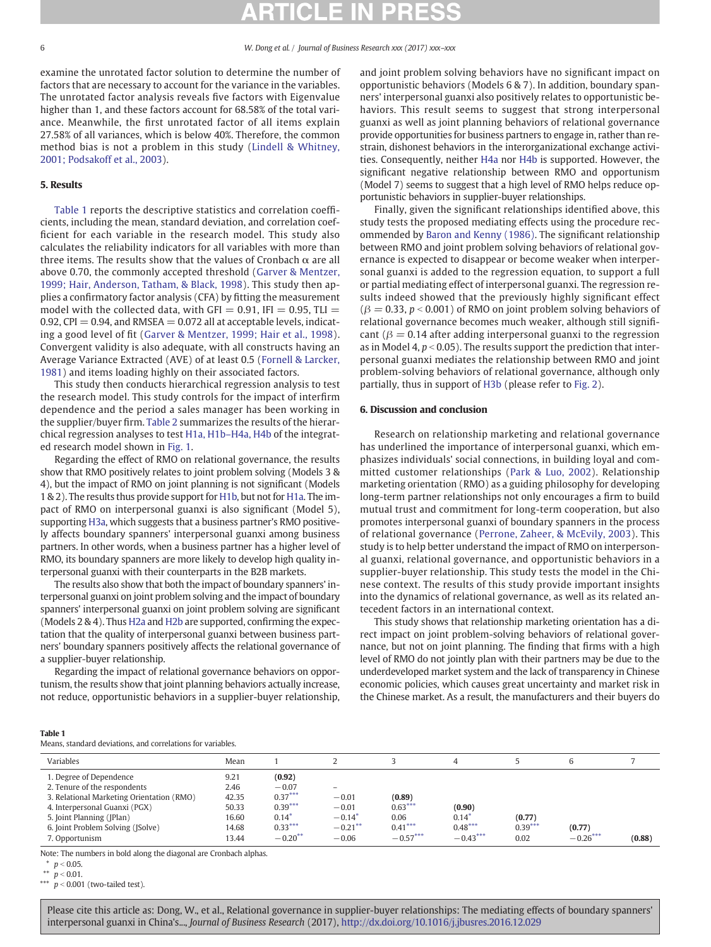examine the unrotated factor solution to determine the number of factors that are necessary to account for the variance in the variables. The unrotated factor analysis reveals five factors with Eigenvalue higher than 1, and these factors account for 68.58% of the total variance. Meanwhile, the first unrotated factor of all items explain 27.58% of all variances, which is below 40%. Therefore, the common method bias is not a problem in this study ([Lindell & Whitney,](#page-8-0) [2001; Podsakoff et al., 2003\)](#page-8-0).

### 5. Results

Table 1 reports the descriptive statistics and correlation coefficients, including the mean, standard deviation, and correlation coefficient for each variable in the research model. This study also calculates the reliability indicators for all variables with more than three items. The results show that the values of Cronbach  $\alpha$  are all above 0.70, the commonly accepted threshold ([Garver & Mentzer,](#page-8-0) [1999; Hair, Anderson, Tatham, & Black, 1998](#page-8-0)). This study then applies a confirmatory factor analysis (CFA) by fitting the measurement model with the collected data, with GFI =  $0.91$ , IFI =  $0.95$ , TLI = 0.92, CPI  $= 0.94$ , and RMSEA  $= 0.072$  all at acceptable levels, indicating a good level of fit ([Garver & Mentzer, 1999; Hair et al., 1998](#page-8-0)). Convergent validity is also adequate, with all constructs having an Average Variance Extracted (AVE) of at least 0.5 [\(Fornell & Larcker,](#page-8-0) [1981](#page-8-0)) and items loading highly on their associated factors.

This study then conducts hierarchical regression analysis to test the research model. This study controls for the impact of interfirm dependence and the period a sales manager has been working in the supplier/buyer firm. [Table 2](#page-6-0) summarizes the results of the hierarchical regression analyses to test [H1a, H1b](#page-2-0)–H4a, H4b of the integrated research model shown in [Fig. 1](#page-4-0).

Regarding the effect of RMO on relational governance, the results show that RMO positively relates to joint problem solving (Models 3 & 4), but the impact of RMO on joint planning is not significant (Models 1 & 2). The results thus provide support for [H1b](#page-2-0), but not for [H1a](#page-2-0). The impact of RMO on interpersonal guanxi is also significant (Model 5), supporting [H3a](#page-3-0), which suggests that a business partner's RMO positively affects boundary spanners' interpersonal guanxi among business partners. In other words, when a business partner has a higher level of RMO, its boundary spanners are more likely to develop high quality interpersonal guanxi with their counterparts in the B2B markets.

The results also show that both the impact of boundary spanners' interpersonal guanxi on joint problem solving and the impact of boundary spanners' interpersonal guanxi on joint problem solving are significant (Models 2 & 4). Thus [H2a](#page-3-0) and [H2b](#page-3-0) are supported, confirming the expectation that the quality of interpersonal guanxi between business partners' boundary spanners positively affects the relational governance of a supplier-buyer relationship.

Regarding the impact of relational governance behaviors on opportunism, the results show that joint planning behaviors actually increase, not reduce, opportunistic behaviors in a supplier-buyer relationship, and joint problem solving behaviors have no significant impact on opportunistic behaviors (Models 6 & 7). In addition, boundary spanners' interpersonal guanxi also positively relates to opportunistic behaviors. This result seems to suggest that strong interpersonal guanxi as well as joint planning behaviors of relational governance provide opportunities for business partners to engage in, rather than restrain, dishonest behaviors in the interorganizational exchange activities. Consequently, neither [H4a](#page-3-0) nor [H4b](#page-3-0) is supported. However, the significant negative relationship between RMO and opportunism (Model 7) seems to suggest that a high level of RMO helps reduce opportunistic behaviors in supplier-buyer relationships.

Finally, given the significant relationships identified above, this study tests the proposed mediating effects using the procedure recommended by [Baron and Kenny \(1986\)](#page-7-0). The significant relationship between RMO and joint problem solving behaviors of relational governance is expected to disappear or become weaker when interpersonal guanxi is added to the regression equation, to support a full or partial mediating effect of interpersonal guanxi. The regression results indeed showed that the previously highly significant effect  $(\beta = 0.33, p < 0.001)$  of RMO on joint problem solving behaviors of relational governance becomes much weaker, although still significant ( $\beta$  = 0.14 after adding interpersonal guanxi to the regression as in Model 4,  $p < 0.05$ ). The results support the prediction that interpersonal guanxi mediates the relationship between RMO and joint problem-solving behaviors of relational governance, although only partially, thus in support of [H3b](#page-3-0) (please refer to [Fig. 2\)](#page-6-0).

### 6. Discussion and conclusion

Research on relationship marketing and relational governance has underlined the importance of interpersonal guanxi, which emphasizes individuals' social connections, in building loyal and committed customer relationships ([Park & Luo, 2002\)](#page-8-0). Relationship marketing orientation (RMO) as a guiding philosophy for developing long-term partner relationships not only encourages a firm to build mutual trust and commitment for long-term cooperation, but also promotes interpersonal guanxi of boundary spanners in the process of relational governance [\(Perrone, Zaheer, & McEvily, 2003\)](#page-8-0). This study is to help better understand the impact of RMO on interpersonal guanxi, relational governance, and opportunistic behaviors in a supplier-buyer relationship. This study tests the model in the Chinese context. The results of this study provide important insights into the dynamics of relational governance, as well as its related antecedent factors in an international context.

This study shows that relationship marketing orientation has a direct impact on joint problem-solving behaviors of relational governance, but not on joint planning. The finding that firms with a high level of RMO do not jointly plan with their partners may be due to the underdeveloped market system and the lack of transparency in Chinese economic policies, which causes great uncertainty and market risk in the Chinese market. As a result, the manufacturers and their buyers do

#### Table 1

Means, standard deviations, and correlations for variables.

| Variables                                 | Mean  |                     |                          |            |                  |           |            |        |
|-------------------------------------------|-------|---------------------|--------------------------|------------|------------------|-----------|------------|--------|
| 1. Degree of Dependence                   | 9.21  | (0.92)              |                          |            |                  |           |            |        |
| 2. Tenure of the respondents              | 2.46  | $-0.07$             | $\overline{\phantom{0}}$ |            |                  |           |            |        |
| 3. Relational Marketing Orientation (RMO) | 42.35 | $0.37***$           | $-0.01$                  | (0.89)     |                  |           |            |        |
| 4. Interpersonal Guanxi (PGX)             | 50.33 | $0.39***$           | $-0.01$                  | $0.63***$  | (0.90)           |           |            |        |
| 5. Joint Planning (JPlan)                 | 16.60 | $0.14$ <sup>*</sup> | $-0.14^{*}$              | 0.06       | $0.14^{\degree}$ | (0.77)    |            |        |
| 6. Joint Problem Solving (JSolve)         | 14.68 | $0.33***$           | $-0.21***$               | $0.41***$  | $0.48***$        | $0.39***$ | (0.77)     |        |
| 7. Opportunism                            | 13.44 | $-0.20**$           | $-0.06$                  | $-0.57***$ | $-0.43***$       | 0.02      | $-0.26***$ | (0.88) |

Note: The numbers in bold along the diagonal are Cronbach alphas.

 $p < 0.05$ .

\*\*  $p < 0.01$ .

\*\*\*  $p < 0.001$  (two-tailed test).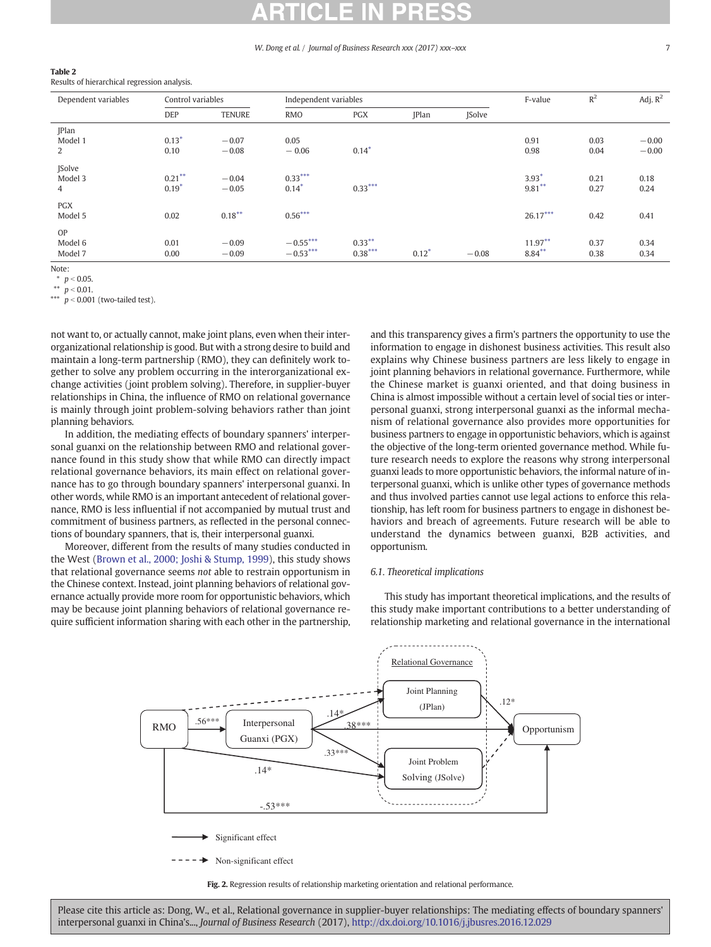#### W. Dong et al. / Journal of Business Research xxx (2017) xxx-xxx

#### <span id="page-6-0"></span>Table 2

Results of hierarchical regression analysis.

| Dependent variables          | Control variables    |                    | Independent variables    |                        |              |              | F-value                | $R^2$        | Adj. $R^2$         |
|------------------------------|----------------------|--------------------|--------------------------|------------------------|--------------|--------------|------------------------|--------------|--------------------|
|                              | <b>DEP</b>           | <b>TENURE</b>      | RMO                      | <b>PGX</b>             | <b>IPlan</b> | <b>Solve</b> |                        |              |                    |
| <b>JPlan</b><br>Model 1<br>2 | $0.13*$<br>0.10      | $-0.07$<br>$-0.08$ | 0.05<br>$-0.06$          | $0.14*$                |              |              | 0.91<br>0.98           | 0.03<br>0.04 | $-0.00$<br>$-0.00$ |
| <b>Solve</b><br>Model 3<br>4 | $0.21***$<br>$0.19*$ | $-0.04$<br>$-0.05$ | $0.33***$<br>$0.14*$     | $0.33***$              |              |              | $3.93*$<br>$9.81***$   | 0.21<br>0.27 | 0.18<br>0.24       |
| <b>PGX</b><br>Model 5        | 0.02                 | $0.18***$          | $0.56***$                |                        |              |              | $26.17***$             | 0.42         | 0.41               |
| OP<br>Model 6<br>Model 7     | 0.01<br>0.00         | $-0.09$<br>$-0.09$ | $-0.55***$<br>$-0.53***$ | $0.33***$<br>$0.38***$ | $0.12*$      | $-0.08$      | $11.97**$<br>$8.84***$ | 0.37<br>0.38 | 0.34<br>0.34       |

Note:

 $p < 0.05$ .

 $p < 0.01$ .

\*\*\*  $p < 0.001$  (two-tailed test).

not want to, or actually cannot, make joint plans, even when their interorganizational relationship is good. But with a strong desire to build and maintain a long-term partnership (RMO), they can definitely work together to solve any problem occurring in the interorganizational exchange activities (joint problem solving). Therefore, in supplier-buyer relationships in China, the influence of RMO on relational governance is mainly through joint problem-solving behaviors rather than joint planning behaviors.

In addition, the mediating effects of boundary spanners' interpersonal guanxi on the relationship between RMO and relational governance found in this study show that while RMO can directly impact relational governance behaviors, its main effect on relational governance has to go through boundary spanners' interpersonal guanxi. In other words, while RMO is an important antecedent of relational governance, RMO is less influential if not accompanied by mutual trust and commitment of business partners, as reflected in the personal connections of boundary spanners, that is, their interpersonal guanxi.

Moreover, different from the results of many studies conducted in the West [\(Brown et al., 2000; Joshi & Stump, 1999](#page-7-0)), this study shows that relational governance seems not able to restrain opportunism in the Chinese context. Instead, joint planning behaviors of relational governance actually provide more room for opportunistic behaviors, which may be because joint planning behaviors of relational governance require sufficient information sharing with each other in the partnership, and this transparency gives a firm's partners the opportunity to use the information to engage in dishonest business activities. This result also explains why Chinese business partners are less likely to engage in joint planning behaviors in relational governance. Furthermore, while the Chinese market is guanxi oriented, and that doing business in China is almost impossible without a certain level of social ties or interpersonal guanxi, strong interpersonal guanxi as the informal mechanism of relational governance also provides more opportunities for business partners to engage in opportunistic behaviors, which is against the objective of the long-term oriented governance method. While future research needs to explore the reasons why strong interpersonal guanxi leads to more opportunistic behaviors, the informal nature of interpersonal guanxi, which is unlike other types of governance methods and thus involved parties cannot use legal actions to enforce this relationship, has left room for business partners to engage in dishonest behaviors and breach of agreements. Future research will be able to understand the dynamics between guanxi, B2B activities, and opportunism.

### 6.1. Theoretical implications

This study has important theoretical implications, and the results of this study make important contributions to a better understanding of relationship marketing and relational governance in the international



Fig. 2. Regression results of relationship marketing orientation and relational performance.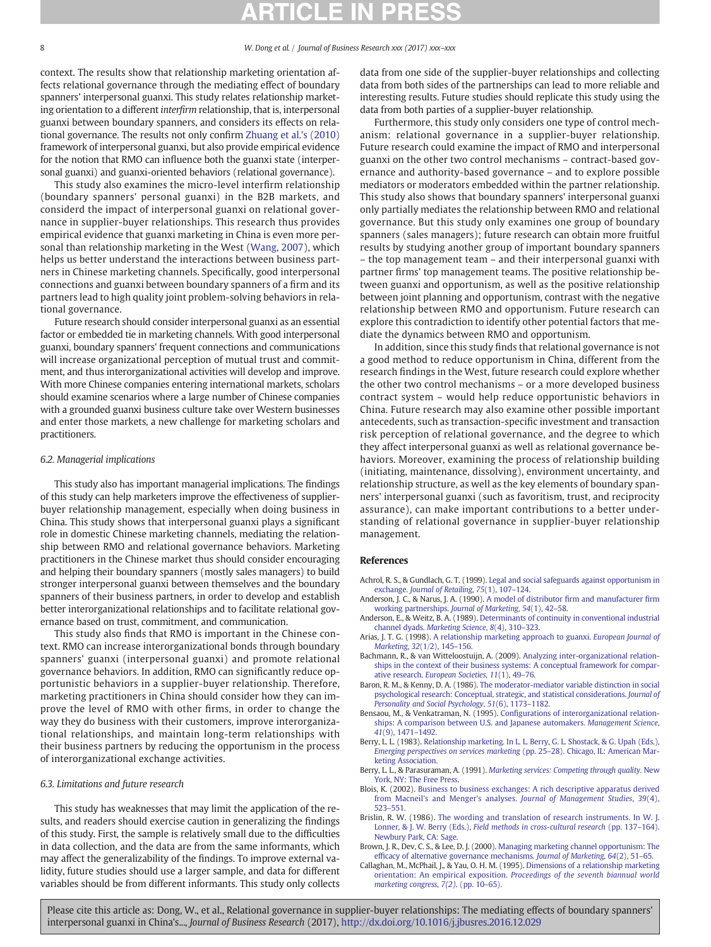<span id="page-7-0"></span>context. The results show that relationship marketing orientation affects relational governance through the mediating effect of boundary spanners' interpersonal guanxi. This study relates relationship marketing orientation to a different interfirm relationship, that is, interpersonal guanxi between boundary spanners, and considers its effects on relational governance. The results not only confirm [Zhuang et al.'s \(2010\)](#page-8-0) framework of interpersonal guanxi, but also provide empirical evidence for the notion that RMO can influence both the guanxi state (interpersonal guanxi) and guanxi-oriented behaviors (relational governance).

This study also examines the micro-level interfirm relationship (boundary spanners' personal guanxi) in the B2B markets, and considerd the impact of interpersonal guanxi on relational governance in supplier-buyer relationships. This research thus provides empirical evidence that guanxi marketing in China is even more personal than relationship marketing in the West ([Wang, 2007](#page-8-0)), which helps us better understand the interactions between business partners in Chinese marketing channels. Specifically, good interpersonal connections and guanxi between boundary spanners of a firm and its partners lead to high quality joint problem-solving behaviors in relational governance.

Future research should consider interpersonal guanxi as an essential factor or embedded tie in marketing channels. With good interpersonal guanxi, boundary spanners' frequent connections and communications will increase organizational perception of mutual trust and commitment, and thus interorganizational activities will develop and improve. With more Chinese companies entering international markets, scholars should examine scenarios where a large number of Chinese companies with a grounded guanxi business culture take over Western businesses and enter those markets, a new challenge for marketing scholars and practitioners.

#### 6.2. Managerial implications

This study also has important managerial implications. The findings of this study can help marketers improve the effectiveness of supplierbuyer relationship management, especially when doing business in China. This study shows that interpersonal guanxi plays a significant role in domestic Chinese marketing channels, mediating the relationship between RMO and relational governance behaviors. Marketing practitioners in the Chinese market thus should consider encouraging and helping their boundary spanners (mostly sales managers) to build stronger interpersonal guanxi between themselves and the boundary spanners of their business partners, in order to develop and establish better interorganizational relationships and to facilitate relational governance based on trust, commitment, and communication.

This study also finds that RMO is important in the Chinese context. RMO can increase interorganizational bonds through boundary spanners' guanxi (interpersonal guanxi) and promote relational governance behaviors. In addition, RMO can significantly reduce opportunistic behaviors in a supplier-buyer relationship. Therefore, marketing practitioners in China should consider how they can improve the level of RMO with other firms, in order to change the way they do business with their customers, improve interorganizational relationships, and maintain long-term relationships with their business partners by reducing the opportunism in the process of interorganizational exchange activities.

#### 6.3. Limitations and future research

This study has weaknesses that may limit the application of the results, and readers should exercise caution in generalizing the findings of this study. First, the sample is relatively small due to the difficulties in data collection, and the data are from the same informants, which may affect the generalizability of the findings. To improve external validity, future studies should use a larger sample, and data for different variables should be from different informants. This study only collects data from one side of the supplier-buyer relationships and collecting data from both sides of the partnerships can lead to more reliable and interesting results. Future studies should replicate this study using the data from both parties of a supplier-buyer relationship.

Furthermore, this study only considers one type of control mechanism: relational governance in a supplier-buyer relationship. Future research could examine the impact of RMO and interpersonal guanxi on the other two control mechanisms – contract-based governance and authority-based governance – and to explore possible mediators or moderators embedded within the partner relationship. This study also shows that boundary spanners' interpersonal guanxi only partially mediates the relationship between RMO and relational governance. But this study only examines one group of boundary spanners (sales managers); future research can obtain more fruitful results by studying another group of important boundary spanners – the top management team – and their interpersonal guanxi with partner firms' top management teams. The positive relationship between guanxi and opportunism, as well as the positive relationship between joint planning and opportunism, contrast with the negative relationship between RMO and opportunism. Future research can explore this contradiction to identify other potential factors that mediate the dynamics between RMO and opportunism.

In addition, since this study finds that relational governance is not a good method to reduce opportunism in China, different from the research findings in the West, future research could explore whether the other two control mechanisms – or a more developed business contract system – would help reduce opportunistic behaviors in China. Future research may also examine other possible important antecedents, such as transaction-specific investment and transaction risk perception of relational governance, and the degree to which they affect interpersonal guanxi as well as relational governance behaviors. Moreover, examining the process of relationship building (initiating, maintenance, dissolving), environment uncertainty, and relationship structure, as well as the key elements of boundary spanners' interpersonal guanxi (such as favoritism, trust, and reciprocity assurance), can make important contributions to a better understanding of relational governance in supplier-buyer relationship management.

#### References

- Achrol, R. S., & Gundlach, G. T. (1999). [Legal and social safeguards against opportunism in](http://refhub.elsevier.com/S0148-2963(17)30074-7/rf1010) exchange. [Journal of Retailing](http://refhub.elsevier.com/S0148-2963(17)30074-7/rf1010), 75(1), 107–124.
- Anderson, J. C., & Narus, J. A. (1990). [A model of distributor](http://refhub.elsevier.com/S0148-2963(17)30074-7/rf0005) firm and manufacturer firm [working partnerships.](http://refhub.elsevier.com/S0148-2963(17)30074-7/rf0005) Journal of Marketing, 54(1), 42–58.
- Anderson, E., & Weitz, B. A. (1989). [Determinants of continuity in conventional industrial](http://refhub.elsevier.com/S0148-2963(17)30074-7/rf0010) channel dyads. [Marketing Science](http://refhub.elsevier.com/S0148-2963(17)30074-7/rf0010), 8(4), 310–323.
- Arias, J. T. G. (1998). [A relationship marketing approach to guanxi.](http://refhub.elsevier.com/S0148-2963(17)30074-7/rf0015) European Journal of Marketing, 32[\(1/2\), 145](http://refhub.elsevier.com/S0148-2963(17)30074-7/rf0015)–156.
- Bachmann, R., & van Witteloostuijn, A. (2009). [Analyzing inter-organizational relation](http://refhub.elsevier.com/S0148-2963(17)30074-7/rf0020)[ships in the context of their business systems: A conceptual framework for compar](http://refhub.elsevier.com/S0148-2963(17)30074-7/rf0020)ative research. [European Societies](http://refhub.elsevier.com/S0148-2963(17)30074-7/rf0020), 11(1), 49–76.
- Baron, R. M., & Kenny, D. A. (1986). [The moderator-mediator variable distinction in social](http://refhub.elsevier.com/S0148-2963(17)30074-7/rf0025) [psychological research: Conceptual, strategic, and statistical considerations.](http://refhub.elsevier.com/S0148-2963(17)30074-7/rf0025) Journal of [Personality and Social Psychology](http://refhub.elsevier.com/S0148-2963(17)30074-7/rf0025), 51(6), 1173–1182.
- Bensaou, M., & Venkatraman, N. (1995). Confi[gurations of interorganizational relation](http://refhub.elsevier.com/S0148-2963(17)30074-7/rf0030)[ships: A comparison between U.S. and Japanese automakers.](http://refhub.elsevier.com/S0148-2963(17)30074-7/rf0030) Management Science, 41[\(9\), 1471](http://refhub.elsevier.com/S0148-2963(17)30074-7/rf0030)–1492.
- Berry, L. L. (1983). [Relationship marketing. In L. L. Berry, G. L. Shostack, & G. Upah \(Eds.\),](http://refhub.elsevier.com/S0148-2963(17)30074-7/rf0035) [Emerging perspectives on services marketing](http://refhub.elsevier.com/S0148-2963(17)30074-7/rf0035) (pp. 25–28). Chicago, IL: American Mar[keting Association.](http://refhub.elsevier.com/S0148-2963(17)30074-7/rf0035)
- Berry, L. L., & Parasuraman, A. (1991). [Marketing services: Competing through quality.](http://refhub.elsevier.com/S0148-2963(17)30074-7/rf0040) New [York, NY: The Free Press.](http://refhub.elsevier.com/S0148-2963(17)30074-7/rf0040)
- Blois, K. (2002). [Business to business exchanges: A rich descriptive apparatus derived](http://refhub.elsevier.com/S0148-2963(17)30074-7/rf1005) from Macneil's and Menger's analyses. [Journal of Management Studies](http://refhub.elsevier.com/S0148-2963(17)30074-7/rf1005), 39(4), 523–[551.](http://refhub.elsevier.com/S0148-2963(17)30074-7/rf1005)
- Brislin, R. W. (1986). [The wording and translation of research instruments. In W. J.](http://refhub.elsevier.com/S0148-2963(17)30074-7/rf0045) Lonner, & J. W. Berry (Eds.), [Field methods in cross-cultural research](http://refhub.elsevier.com/S0148-2963(17)30074-7/rf0045) (pp. 137–164). [Newbury Park, CA: Sage.](http://refhub.elsevier.com/S0148-2963(17)30074-7/rf0045)
- Brown, J. R., Dev, C. S., & Lee, D. J. (2000). [Managing marketing channel opportunism: The](http://refhub.elsevier.com/S0148-2963(17)30074-7/rf0050) effi[cacy of alternative governance mechanisms.](http://refhub.elsevier.com/S0148-2963(17)30074-7/rf0050) Journal of Marketing, 64(2), 51–65.
- Callaghan, M., McPhail, J., & Yau, O. H. M. (1995). [Dimensions of a relationship marketing](http://refhub.elsevier.com/S0148-2963(17)30074-7/rf0055) orientation: An empirical exposition. [Proceedings of the seventh biannual world](http://refhub.elsevier.com/S0148-2963(17)30074-7/rf0055) [marketing congress](http://refhub.elsevier.com/S0148-2963(17)30074-7/rf0055), 7(2). (pp. 10-65).